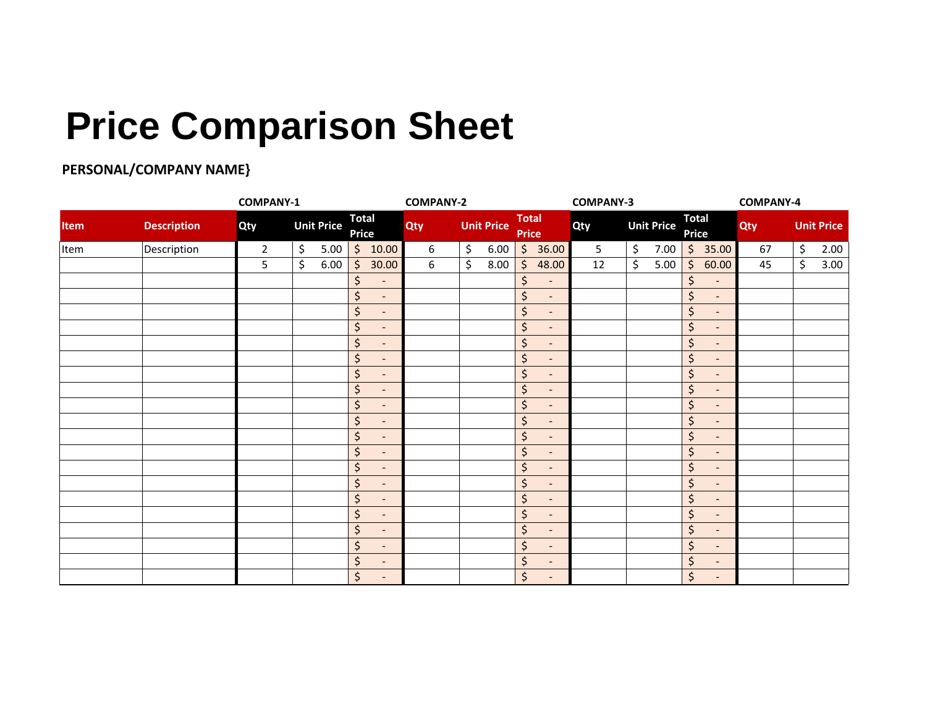## **Price Comparison Sheet**

## **PERSONAL/COMPANY NAME}**

|             |                    |                | <b>COMPANY-1</b>  |                                     |     | <b>COMPANY-2</b>  |                                | <b>COMPANY-3</b> |                                                   |     | <b>COMPANY-4</b>  |  |
|-------------|--------------------|----------------|-------------------|-------------------------------------|-----|-------------------|--------------------------------|------------------|---------------------------------------------------|-----|-------------------|--|
| <b>Item</b> | <b>Description</b> | Qty            | <b>Unit Price</b> | <b>Total</b><br><b>Price</b>        | Qty | <b>Unit Price</b> | <b>Total</b><br><b>Price</b>   | Qty              | <b>Total</b><br><b>Unit Price</b><br><b>Price</b> | Qty | <b>Unit Price</b> |  |
| Item        | Description        | $\overline{2}$ | \$<br>5.00        | \$<br>10.00                         | 6   | \$<br>6.00        | $\frac{1}{2}$<br>36.00         | 5                | \$<br>7.00<br>$\zeta$<br>35.00                    | 67  | \$<br>2.00        |  |
|             |                    | 5              | \$<br>6.00        | $\zeta$<br>30.00                    | 6   | \$<br>8.00        | \$<br>48.00                    | 12               | \$<br>$\zeta$<br>5.00<br>60.00                    | 45  | $\zeta$<br>3.00   |  |
|             |                    |                |                   | $\zeta$<br>$\overline{\phantom{a}}$ |     |                   | \$<br>$\overline{\phantom{a}}$ |                  | \$<br>$\overline{\phantom{a}}$                    |     |                   |  |
|             |                    |                |                   | \$<br>$\overline{\phantom{a}}$      |     |                   | \$<br>$\overline{\phantom{a}}$ |                  | $\zeta$<br>$\overline{\phantom{a}}$               |     |                   |  |
|             |                    |                |                   | \$<br>$\overline{\phantom{a}}$      |     |                   | \$<br>$\overline{\phantom{a}}$ |                  | \$<br>$\overline{\phantom{a}}$                    |     |                   |  |
|             |                    |                |                   | \$<br>$\qquad \qquad -$             |     |                   | \$<br>$\overline{\phantom{a}}$ |                  | \$<br>$\overline{\phantom{a}}$                    |     |                   |  |
|             |                    |                |                   | \$<br>$\overline{\phantom{a}}$      |     |                   | \$<br>$\overline{\phantom{a}}$ |                  | \$<br>$\overline{\phantom{a}}$                    |     |                   |  |
|             |                    |                |                   | \$<br>$\qquad \qquad -$             |     |                   | \$<br>$\overline{\phantom{a}}$ |                  | \$<br>$\overline{\phantom{a}}$                    |     |                   |  |
|             |                    |                |                   | \$<br>$\overline{\phantom{a}}$      |     |                   | \$<br>$\overline{\phantom{a}}$ |                  | \$<br>$\overline{\phantom{a}}$                    |     |                   |  |
|             |                    |                |                   | \$<br>$\qquad \qquad -$             |     |                   | \$<br>$\overline{\phantom{a}}$ |                  | \$<br>$\overline{\phantom{a}}$                    |     |                   |  |
|             |                    |                |                   | \$<br>$\overline{\phantom{a}}$      |     |                   | \$<br>$\overline{\phantom{a}}$ |                  | \$<br>$\overline{\phantom{a}}$                    |     |                   |  |
|             |                    |                |                   | \$<br>$\overline{\phantom{a}}$      |     |                   | \$<br>$\overline{\phantom{a}}$ |                  | \$<br>$\overline{\phantom{a}}$                    |     |                   |  |
|             |                    |                |                   | \$<br>$\overline{\phantom{a}}$      |     |                   | \$<br>$\overline{\phantom{a}}$ |                  | \$<br>$\overline{\phantom{a}}$                    |     |                   |  |
|             |                    |                |                   | \$<br>$\overline{\phantom{a}}$      |     |                   | \$<br>$\overline{\phantom{a}}$ |                  | \$<br>$\overline{\phantom{a}}$                    |     |                   |  |
|             |                    |                |                   | \$<br>$\overline{\phantom{a}}$      |     |                   | \$<br>$\overline{\phantom{a}}$ |                  | \$<br>$\overline{\phantom{a}}$                    |     |                   |  |
|             |                    |                |                   | \$<br>$\overline{a}$                |     |                   | \$<br>$\overline{a}$           |                  | \$<br>$\overline{\phantom{a}}$                    |     |                   |  |
|             |                    |                |                   | \$<br>$\overline{\phantom{a}}$      |     |                   | \$<br>$\overline{\phantom{a}}$ |                  | \$<br>$\overline{\phantom{a}}$                    |     |                   |  |
|             |                    |                |                   | \$<br>$\qquad \qquad -$             |     |                   | \$<br>$\qquad \qquad -$        |                  | \$<br>$\overline{\phantom{a}}$                    |     |                   |  |
|             |                    |                |                   | \$<br>$\overline{\phantom{a}}$      |     |                   | \$<br>$\overline{\phantom{a}}$ |                  | \$<br>$\overline{\phantom{a}}$                    |     |                   |  |
|             |                    |                |                   | \$<br>$\qquad \qquad -$             |     |                   | \$<br>$\overline{\phantom{a}}$ |                  | \$<br>$\overline{\phantom{a}}$                    |     |                   |  |
|             |                    |                |                   | \$<br>$\overline{\phantom{a}}$      |     |                   | \$<br>$\overline{\phantom{a}}$ |                  | \$<br>$\overline{\phantom{a}}$                    |     |                   |  |
|             |                    |                |                   | \$<br>$\qquad \qquad -$             |     |                   | \$                             |                  | \$<br>$\overline{\phantom{a}}$                    |     |                   |  |